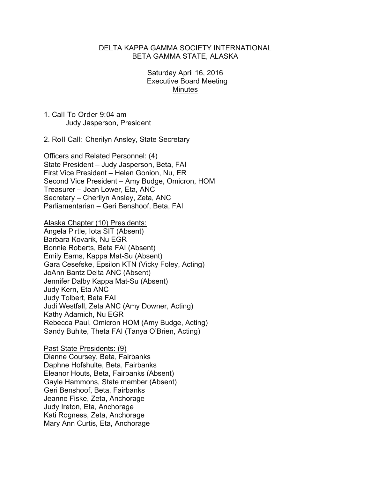### DELTA KAPPA GAMMA SOCIETY INTERNATIONAL BETA GAMMA STATE, ALASKA

### Saturday April 16, 2016 Executive Board Meeting **Minutes**

1. Call To Order 9:04 am Judy Jasperson, President

2. Roll Call: Cherilyn Ansley, State Secretary

Officers and Related Personnel: (4) State President – Judy Jasperson, Beta, FAI First Vice President – Helen Gonion, Nu, ER Second Vice President – Amy Budge, Omicron, HOM Treasurer – Joan Lower, Eta, ANC Secretary – Cherilyn Ansley, Zeta, ANC Parliamentarian – Geri Benshoof, Beta, FAI

Alaska Chapter (10) Presidents: Angela Pirtle, Iota SIT (Absent) Barbara Kovarik, Nu EGR Bonnie Roberts, Beta FAI (Absent) Emily Earns, Kappa Mat-Su (Absent) Gara Cesefske, Epsilon KTN (Vicky Foley, Acting) JoAnn Bantz Delta ANC (Absent) Jennifer Dalby Kappa Mat-Su (Absent) Judy Kern, Eta ANC Judy Tolbert, Beta FAI Judi Westfall, Zeta ANC (Amy Downer, Acting) Kathy Adamich, Nu EGR Rebecca Paul, Omicron HOM (Amy Budge, Acting) Sandy Buhite, Theta FAI (Tanya O'Brien, Acting)

Past State Presidents: (9) Dianne Coursey, Beta, Fairbanks Daphne Hofshulte, Beta, Fairbanks Eleanor Houts, Beta, Fairbanks (Absent) Gayle Hammons, State member (Absent) Geri Benshoof, Beta, Fairbanks Jeanne Fiske, Zeta, Anchorage Judy Ireton, Eta, Anchorage Kati Rogness, Zeta, Anchorage Mary Ann Curtis, Eta, Anchorage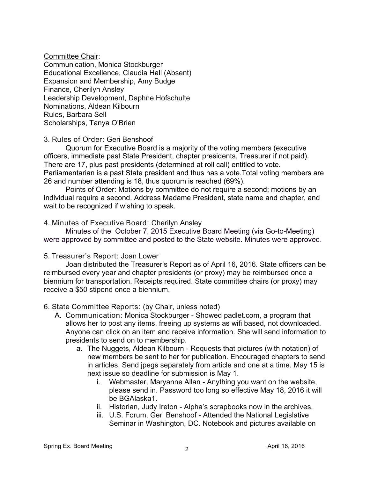Committee Chair: Communication, Monica Stockburger Educational Excellence, Claudia Hall (Absent) Expansion and Membership, Amy Budge Finance, Cherilyn Ansley Leadership Development, Daphne Hofschulte Nominations, Aldean Kilbourn Rules, Barbara Sell Scholarships, Tanya O'Brien

3. Rules of Order: Geri Benshoof

Quorum for Executive Board is a majority of the voting members (executive officers, immediate past State President, chapter presidents, Treasurer if not paid). There are 17, plus past presidents (determined at roll call) entitled to vote. Parliamentarian is a past State president and thus has a vote.Total voting members are 26 and number attending is 18, thus quorum is reached (69%).

Points of Order: Motions by committee do not require a second; motions by an individual require a second. Address Madame President, state name and chapter, and wait to be recognized if wishing to speak.

4. Minutes of Executive Board: Cherilyn Ansley

 Minutes of the October 7, 2015 Executive Board Meeting (via Go-to-Meeting) were approved by committee and posted to the State website. Minutes were approved.

5. Treasurer's Report: Joan Lower

Joan distributed the Treasurer's Report as of April 16, 2016. State officers can be reimbursed every year and chapter presidents (or proxy) may be reimbursed once a biennium for transportation. Receipts required. State committee chairs (or proxy) may receive a \$50 stipend once a biennium.

6. State Committee Reports: (by Chair, unless noted)

- A. Communication: Monica Stockburger Showed padlet.com, a program that allows her to post any items, freeing up systems as wifi based, not downloaded. Anyone can click on an item and receive information. She will send information to presidents to send on to membership.
	- a. The Nuggets, Aldean Kilbourn Requests that pictures (with notation) of new members be sent to her for publication. Encouraged chapters to send in articles. Send jpegs separately from article and one at a time. May 15 is next issue so deadline for submission is May 1.
		- i. Webmaster, Maryanne Allan Anything you want on the website, please send in. Password too long so effective May 18, 2016 it will be BGAlaska1.
		- ii. Historian, Judy Ireton Alpha's scrapbooks now in the archives.
		- iii. U.S. Forum, Geri Benshoof Attended the National Legislative Seminar in Washington, DC. Notebook and pictures available on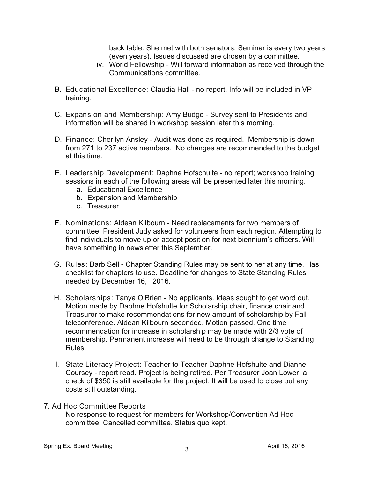back table. She met with both senators. Seminar is every two years (even years). Issues discussed are chosen by a committee.

- iv. World Fellowship Will forward information as received through the Communications committee.
- B. Educational Excellence: Claudia Hall no report. Info will be included in VP training.
- C. Expansion and Membership: Amy Budge Survey sent to Presidents and information will be shared in workshop session later this morning.
- D. Finance: Cherilyn Ansley Audit was done as required. Membership is down from 271 to 237 active members. No changes are recommended to the budget at this time.
- E. Leadership Development: Daphne Hofschulte no report; workshop training sessions in each of the following areas will be presented later this morning.
	- a. Educational Excellence
	- b. Expansion and Membership
	- c. Treasurer
- F. Nominations: Aldean Kilbourn Need replacements for two members of committee. President Judy asked for volunteers from each region. Attempting to find individuals to move up or accept position for next biennium's officers. Will have something in newsletter this September.
- G. Rules: Barb Sell Chapter Standing Rules may be sent to her at any time. Has checklist for chapters to use. Deadline for changes to State Standing Rules needed by December 16, 2016.
- H. Scholarships: Tanya O'Brien No applicants. Ideas sought to get word out. Motion made by Daphne Hofshulte for Scholarship chair, finance chair and Treasurer to make recommendations for new amount of scholarship by Fall teleconference. Aldean Kilbourn seconded. Motion passed. One time recommendation for increase in scholarship may be made with 2/3 vote of membership. Permanent increase will need to be through change to Standing Rules.
- I. State Literacy Project: Teacher to Teacher Daphne Hofshulte and Dianne Coursey - report read. Project is being retired. Per Treasurer Joan Lower, a check of \$350 is still available for the project. It will be used to close out any costs still outstanding.
- 7. Ad Hoc Committee Reports No response to request for members for Workshop/Convention Ad Hoc committee. Cancelled committee. Status quo kept.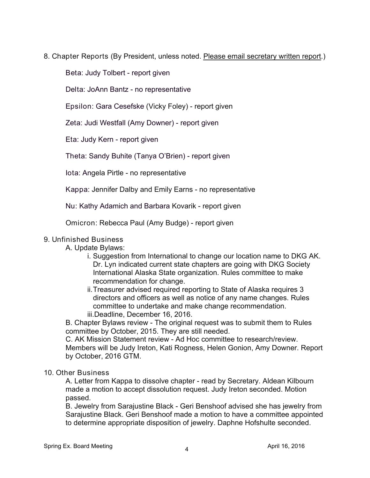8. Chapter Reports (By President, unless noted. Please email secretary written report.)

Beta: Judy Tolbert - report given

Delta: JoAnn Bantz - no representative

Epsilon: Gara Cesefske (Vicky Foley) - report given

Zeta: Judi Westfall (Amy Downer) - report given

Eta: Judy Kern - report given

Theta: Sandy Buhite (Tanya O'Brien) - report given

Iota: Angela Pirtle - no representative

Kappa: Jennifer Dalby and Emily Earns - no representative

Nu: Kathy Adamich and Barbara Kovarik - report given

Omicron: Rebecca Paul (Amy Budge) - report given

# 9. Unfinished Business

## A. Update Bylaws:

- i. Suggestion from International to change our location name to DKG AK. Dr. Lyn indicated current state chapters are going with DKG Society International Alaska State organization. Rules committee to make recommendation for change.
- ii.Treasurer advised required reporting to State of Alaska requires 3 directors and officers as well as notice of any name changes. Rules committee to undertake and make change recommendation. iii.Deadline, December 16, 2016.

B. Chapter Bylaws review - The original request was to submit them to Rules committee by October, 2015. They are still needed.

C. AK Mission Statement review - Ad Hoc committee to research/review. Members will be Judy Ireton, Kati Rogness, Helen Gonion, Amy Downer. Report by October, 2016 GTM.

## 10. Other Business

A. Letter from Kappa to dissolve chapter - read by Secretary. Aldean Kilbourn made a motion to accept dissolution request. Judy Ireton seconded. Motion passed.

B. Jewelry from Sarajustine Black - Geri Benshoof advised she has jewelry from Sarajustine Black. Geri Benshoof made a motion to have a committee appointed to determine appropriate disposition of jewelry. Daphne Hofshulte seconded.